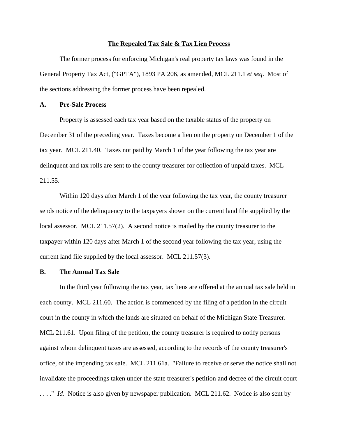#### **The Repealed Tax Sale & Tax Lien Process**

The former process for enforcing Michigan's real property tax laws was found in the General Property Tax Act, ("GPTA"), 1893 PA 206, as amended, MCL 211.1 *et seq*. Most of the sections addressing the former process have been repealed.

# **A. Pre-Sale Process**

Property is assessed each tax year based on the taxable status of the property on December 31 of the preceding year. Taxes become a lien on the property on December 1 of the tax year. MCL 211.40. Taxes not paid by March 1 of the year following the tax year are delinquent and tax rolls are sent to the county treasurer for collection of unpaid taxes. MCL 211.55.

Within 120 days after March 1 of the year following the tax year, the county treasurer sends notice of the delinquency to the taxpayers shown on the current land file supplied by the local assessor. MCL 211.57(2). A second notice is mailed by the county treasurer to the taxpayer within 120 days after March 1 of the second year following the tax year, using the current land file supplied by the local assessor. MCL 211.57(3).

# **B. The Annual Tax Sale**

In the third year following the tax year, tax liens are offered at the annual tax sale held in each county. MCL 211.60. The action is commenced by the filing of a petition in the circuit court in the county in which the lands are situated on behalf of the Michigan State Treasurer. MCL 211.61. Upon filing of the petition, the county treasurer is required to notify persons against whom delinquent taxes are assessed, according to the records of the county treasurer's office, of the impending tax sale. MCL 211.61a. "Failure to receive or serve the notice shall not invalidate the proceedings taken under the state treasurer's petition and decree of the circuit court ...." *Id.* Notice is also given by newspaper publication. MCL 211.62. Notice is also sent by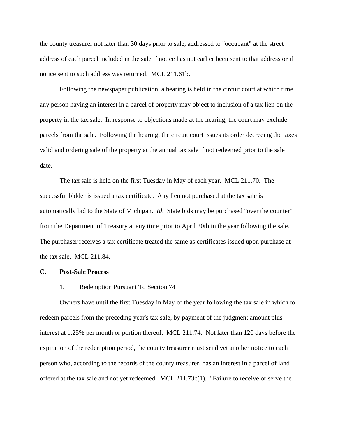the county treasurer not later than 30 days prior to sale, addressed to "occupant" at the street address of each parcel included in the sale if notice has not earlier been sent to that address or if notice sent to such address was returned. MCL 211.61b.

Following the newspaper publication, a hearing is held in the circuit court at which time any person having an interest in a parcel of property may object to inclusion of a tax lien on the property in the tax sale. In response to objections made at the hearing, the court may exclude parcels from the sale. Following the hearing, the circuit court issues its order decreeing the taxes valid and ordering sale of the property at the annual tax sale if not redeemed prior to the sale date.

The tax sale is held on the first Tuesday in May of each year. MCL 211.70. The successful bidder is issued a tax certificate. Any lien not purchased at the tax sale is automatically bid to the State of Michigan. *Id*. State bids may be purchased "over the counter" from the Department of Treasury at any time prior to April 20th in the year following the sale. The purchaser receives a tax certificate treated the same as certificates issued upon purchase at the tax sale. MCL 211.84.

## **C. Post-Sale Process**

#### 1. Redemption Pursuant To Section 74

Owners have until the first Tuesday in May of the year following the tax sale in which to redeem parcels from the preceding year's tax sale, by payment of the judgment amount plus interest at 1.25% per month or portion thereof. MCL 211.74. Not later than 120 days before the expiration of the redemption period, the county treasurer must send yet another notice to each person who, according to the records of the county treasurer, has an interest in a parcel of land offered at the tax sale and not yet redeemed. MCL 211.73c(1). "Failure to receive or serve the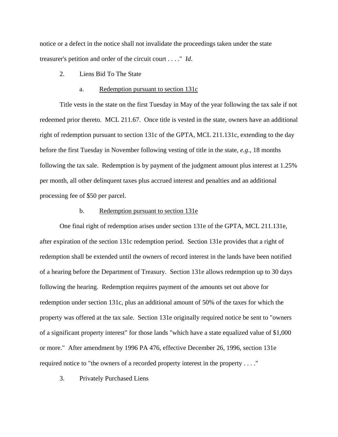notice or a defect in the notice shall not invalidate the proceedings taken under the state treasurer's petition and order of the circuit court . . . ." *Id*.

2. Liens Bid To The State

### a. Redemption pursuant to section 131c

Title vests in the state on the first Tuesday in May of the year following the tax sale if not redeemed prior thereto. MCL 211.67. Once title is vested in the state, owners have an additional right of redemption pursuant to section 131c of the GPTA, MCL 211.131c, extending to the day before the first Tuesday in November following vesting of title in the state, *e.g*., 18 months following the tax sale. Redemption is by payment of the judgment amount plus interest at 1.25% per month, all other delinquent taxes plus accrued interest and penalties and an additional processing fee of \$50 per parcel.

### b. Redemption pursuant to section 131e

One final right of redemption arises under section 131e of the GPTA, MCL 211.131e, after expiration of the section 131c redemption period. Section 131e provides that a right of redemption shall be extended until the owners of record interest in the lands have been notified of a hearing before the Department of Treasury. Section 131e allows redemption up to 30 days following the hearing. Redemption requires payment of the amounts set out above for redemption under section 131c, plus an additional amount of 50% of the taxes for which the property was offered at the tax sale. Section 131e originally required notice be sent to "owners of a significant property interest" for those lands "which have a state equalized value of \$1,000 or more." After amendment by 1996 PA 476, effective December 26, 1996, section 131e required notice to "the owners of a recorded property interest in the property . . . ."

3. Privately Purchased Liens